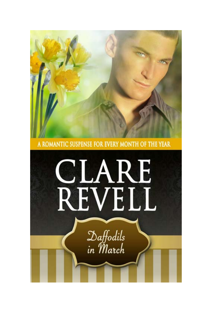

A ROMANTIC SUSPENSE FOR EVERY MONTH OF THE YEAR

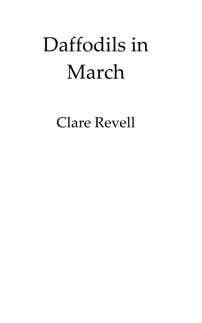# Daffodils in March

Clare Revell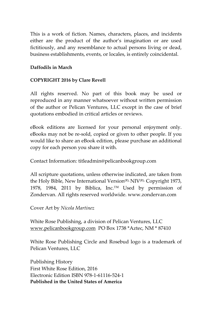This is a work of fiction. Names, characters, places, and incidents either are the product of the author's imagination or are used fictitiously, and any resemblance to actual persons living or dead, business establishments, events, or locales, is entirely coincidental.

#### **Daffodils in March**

#### **COPYRIGHT 2016 by Clare Revell**

All rights reserved. No part of this book may be used or reproduced in any manner whatsoever without written permission of the author or Pelican Ventures, LLC except in the case of brief quotations embodied in critical articles or reviews.

eBook editions are licensed for your personal enjoyment only. eBooks may not be re‐sold, copied or given to other people. If you would like to share an eBook edition, please purchase an additional copy for each person you share it with.

Contact Information: titleadmin@pelicanbookgroup.com

All scripture quotations, unless otherwise indicated, are taken from the Holy Bible, New International Version<sup>(R),</sup> NIV<sup>(R),</sup> Copyright 1973, 1978, 1984, 2011 by Biblica, Inc.™ Used by permission of Zondervan. All rights reserved worldwide. www.zondervan.com

Cover Art by *Nicola Martinez*

White Rose Publishing, a division of Pelican Ventures, LLC www.pelicanbookgroup.com PO Box 1738 \*Aztec, NM \* 87410

White Rose Publishing Circle and Rosebud logo is a trademark of Pelican Ventures, LLC

Publishing History First White Rose Edition, 2016 Electronic Edition ISBN 978‐1‐61116‐524‐1 **Published in the United States of America**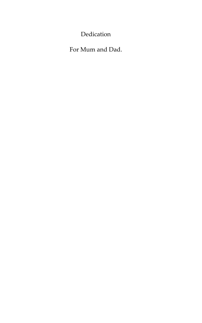Dedication

For Mum and Dad.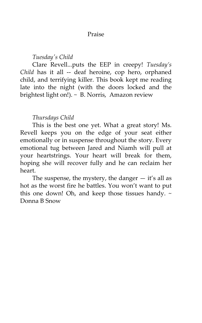#### Praise

### *Tuesdayʹs Child*

Clare Revell...puts the EEP in creepy! *Tuesday's Child* has it all -- deaf heroine, cop hero, orphaned child, and terrifying killer. This book kept me reading late into the night (with the doors locked and the brightest light on!). ~ B. Norris, Amazon review

## *Thursdays Child*

This is the best one yet. What a great story! Ms. Revell keeps you on the edge of your seat either emotionally or in suspense throughout the story. Every emotional tug between Jared and Niamh will pull at your heartstrings. Your heart will break for them, hoping she will recover fully and he can reclaim her heart.

The suspense, the mystery, the danger  $-$  it's all as hot as the worst fire he battles. You won't want to put this one down! Oh, and keep those tissues handy.  $\sim$ Donna B Snow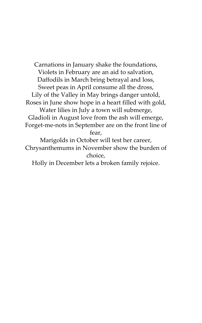Carnations in January shake the foundations, Violets in February are an aid to salvation, Daffodils in March bring betrayal and loss, Sweet peas in April consume all the dross, Lily of the Valley in May brings danger untold, Roses in June show hope in a heart filled with gold, Water lilies in July a town will submerge, Gladioli in August love from the ash will emerge, Forget‐me‐nots in September are on the front line of fear, Marigolds in October will test her career,

Chrysanthemums in November show the burden of choice,

Holly in December lets a broken family rejoice.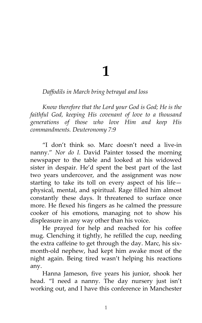**1**

## *Daffodils in March bring betrayal and loss*

*Know therefore that the Lord your God is God; He is the faithful God, keeping His covenant of love to a thousand generations of those who love Him and keep His commandments. Deuteronomy 7:9*

"I don't think so. Marc doesn't need a live‐in nanny." *Nor do I.* David Painter tossed the morning newspaper to the table and looked at his widowed sister in despair. He'd spent the best part of the last two years undercover, and the assignment was now starting to take its toll on every aspect of his life physical, mental, and spiritual. Rage filled him almost constantly these days. It threatened to surface once more. He flexed his fingers as he calmed the pressure cooker of his emotions, managing not to show his displeasure in any way other than his voice.

He prayed for help and reached for his coffee mug. Clenching it tightly, he refilled the cup, needing the extra caffeine to get through the day. Marc, his six‐ month‐old nephew, had kept him awake most of the night again. Being tired wasn't helping his reactions any.

Hanna Jameson, five years his junior, shook her head. "I need a nanny. The day nursery just isn't working out, and I have this conference in Manchester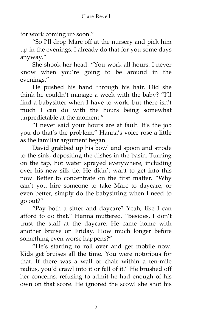for work coming up soon."

"So I'll drop Marc off at the nursery and pick him up in the evenings. I already do that for you some days anyway."

She shook her head. "You work all hours. I never know when you're going to be around in the evenings."

He pushed his hand through his hair. Did she think he couldn't manage a week with the baby? "I'll find a babysitter when I have to work, but there isn't much I can do with the hours being somewhat unpredictable at the moment."

"I never said your hours are at fault. It's the job you do that's the problem." Hanna's voice rose a little as the familiar argument began.

David grabbed up his bowl and spoon and strode to the sink, depositing the dishes in the basin. Turning on the tap, hot water sprayed everywhere, including over his new silk tie. He didn't want to get into this now. Better to concentrate on the first matter. "Why can't you hire someone to take Marc to daycare, or even better, simply do the babysitting when I need to go out?"

"Pay both a sitter and daycare? Yeah, like I can afford to do that." Hanna muttered. "Besides, I don't trust the staff at the daycare. He came home with another bruise on Friday. How much longer before something even worse happens?"

"He's starting to roll over and get mobile now. Kids get bruises all the time. You were notorious for that. If there was a wall or chair within a ten-mile radius, you'd crawl into it or fall of it." He brushed off her concerns, refusing to admit he had enough of his own on that score. He ignored the scowl she shot his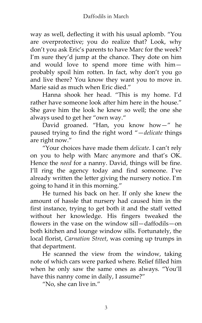way as well, deflecting it with his usual aplomb. "You are overprotective; you do realize that? Look, why don't you ask Eric's parents to have Marc for the week? I'm sure they'd jump at the chance. They dote on him and would love to spend more time with him probably spoil him rotten. In fact, why don't you go and live there? You know they want you to move in. Marie said as much when Eric died."

Hanna shook her head. "This is my home. I'd rather have someone look after him here in the house." She gave him the look he knew so well; the one she always used to get her "own way."

David groaned. "Han, you know how—" he paused trying to find the right word "—*delicate* things are right now."

"Your choices have made them *delicate*. I can't rely on you to help with Marc anymore and that's OK. Hence the *need* for a nanny. David, things will be fine. I'll ring the agency today and find someone. I've already written the letter giving the nursery notice. I'm going to hand it in this morning."

He turned his back on her. If only she knew the amount of hassle that nursery had caused him in the first instance, trying to get both it and the staff vetted without her knowledge. His fingers tweaked the flowers in the vase on the window sill—daffodils—on both kitchen and lounge window sills. Fortunately, the local florist, *Carnation Street*, was coming up trumps in that department.

He scanned the view from the window, taking note of which cars were parked where. Relief filled him when he only saw the same ones as always. "You'll have this nanny come in daily, I assume?"

"No, she can live in."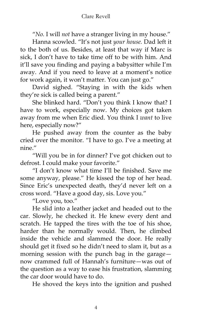"*No.* I will *not* have a stranger living in my house."

Hanna scowled. "It's not just *your house.* Dad left it to the both of us. Besides, at least that way if Marc is sick, I don't have to take time off to be with him. And it'll save you finding and paying a babysitter while I'm away. And if you need to leave at a moment's notice for work again, it won't matter. You can just go."

David sighed. "Staying in with the kids when they're sick is called being a parent."

She blinked hard. "Don't you think I know that? I have to work, especially now. My choices got taken away from me when Eric died. You think I *want* to live here, especially now?"

He pushed away from the counter as the baby cried over the monitor. "I have to go. I've a meeting at nine."

"Will you be in for dinner? I've got chicken out to defrost. I could make your favorite."

"I don't know what time I'll be finished. Save me some anyway, please." He kissed the top of her head. Since Eric's unexpected death, they'd never left on a cross word. "Have a good day, sis. Love you."

"Love you, too."

He slid into a leather jacket and headed out to the car. Slowly, he checked it. He knew every dent and scratch. He tapped the tires with the toe of his shoe, harder than he normally would. Then, he climbed inside the vehicle and slammed the door. He really should get it fixed so he didn't need to slam it, but as a morning session with the punch bag in the garage now crammed full of Hannah's furniture—was out of the question as a way to ease his frustration, slamming the car door would have to do.

He shoved the keys into the ignition and pushed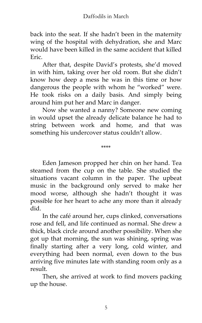back into the seat. If she hadn't been in the maternity wing of the hospital with dehydration, she and Marc would have been killed in the same accident that killed Eric.

After that, despite David's protests, she'd moved in with him, taking over her old room. But she didn't know how deep a mess he was in this time or how dangerous the people with whom he "worked" were. He took risks on a daily basis. And simply being around him put her and Marc in danger.

Now she wanted a nanny? Someone new coming in would upset the already delicate balance he had to string between work and home, and that was something his undercover status couldn't allow.

\*\*\*\*

Eden Jameson propped her chin on her hand. Tea steamed from the cup on the table. She studied the situations vacant column in the paper. The upbeat music in the background only served to make her mood worse, although she hadn't thought it was possible for her heart to ache any more than it already did.

In the café around her, cups clinked, conversations rose and fell, and life continued as normal. She drew a thick, black circle around another possibility. When she got up that morning, the sun was shining, spring was finally starting after a very long, cold winter, and everything had been normal, even down to the bus arriving five minutes late with standing room only as a result.

Then, she arrived at work to find movers packing up the house.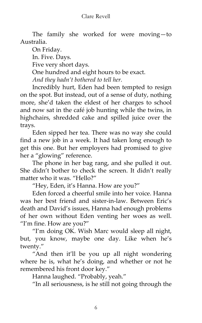#### Clare Revell

The family she worked for were moving—to Australia.

On Friday.

In. Five. Days.

Five very short days.

One hundred and eight hours to be exact.

*And they hadn't bothered to tell her.*

Incredibly hurt, Eden had been tempted to resign on the spot. But instead, out of a sense of duty, nothing more, she'd taken the eldest of her charges to school and now sat in the café job hunting while the twins, in highchairs, shredded cake and spilled juice over the trays.

Eden sipped her tea. There was no way she could find a new job in a week. It had taken long enough to get this one. But her employers had promised to give her a "glowing" reference.

The phone in her bag rang, and she pulled it out. She didn't bother to check the screen. It didn't really matter who it was. "Hello?"

"Hey, Eden, it's Hanna. How are you?"

Eden forced a cheerful smile into her voice. Hanna was her best friend and sister‐in‐law. Between Eric's death and David's issues, Hanna had enough problems of her own without Eden venting her woes as well. "I'm fine. How are you?"

"I'm doing OK. Wish Marc would sleep all night, but, you know, maybe one day. Like when he's twenty."

"And then it'll be you up all night wondering where he is, what he's doing, and whether or not he remembered his front door key."

Hanna laughed. "Probably, yeah."

"In all seriousness, is he still not going through the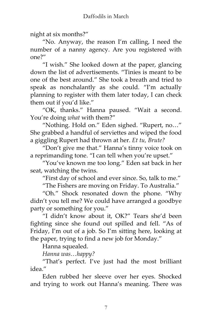night at six months?"

"No. Anyway, the reason I'm calling, I need the number of a nanny agency. Are you registered with one?"

"I wish." She looked down at the paper, glancing down the list of advertisements. "Tinies is meant to be one of the best around." She took a breath and tried to speak as nonchalantly as she could. "I'm actually planning to register with them later today, I can check them out if you'd like."

"OK, thanks." Hanna paused. "Wait a second. You're doing *what* with them?"

"Nothing. Hold on." Eden sighed. "Rupert, no…" She grabbed a handful of serviettes and wiped the food a giggling Rupert had thrown at her. *Et tu, Brute?*

"Don't give me that." Hanna's tinny voice took on a reprimanding tone. "I can tell when you're upset."

"You've known me too long." Eden sat back in her seat, watching the twins.

"First day of school and ever since. So, talk to me."

"The Fishers are moving on Friday. To Australia."

"Oh." Shock resonated down the phone. "Why didn't you tell me? We could have arranged a goodbye party or something for you."

"I didn't know about it, OK?" Tears she'd been fighting since she found out spilled and fell. "As of Friday, I'm out of a job. So I'm sitting here, looking at the paper, trying to find a new job for Monday."

Hanna squealed.

*Hanna was…happy?*

"That's perfect. I've just had the most brilliant idea."

Eden rubbed her sleeve over her eyes. Shocked and trying to work out Hanna's meaning. There was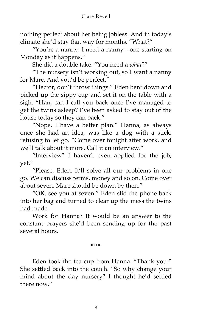nothing perfect about her being jobless. And in today's climate she'd stay that way for months. "What?"

"You're a nanny. I need a nanny—one starting on Monday as it happens."

She did a double take. "You need a *what*?"

"The nursery isn't working out, so I want a nanny for Marc. And you'd be perfect."

"Hector, don't throw things." Eden bent down and picked up the sippy cup and set it on the table with a sigh. "Han, can I call you back once I've managed to get the twins asleep? I've been asked to stay out of the house today so they can pack."

"Nope, I have a better plan." Hanna, as always once she had an idea, was like a dog with a stick, refusing to let go. "Come over tonight after work, and we'll talk about it more. Call it an interview."

"Interview? I haven't even applied for the job, yet."

"Please, Eden. It'll solve all our problems in one go. We can discuss terms, money and so on. Come over about seven. Marc should be down by then."

"OK, see you at seven." Eden slid the phone back into her bag and turned to clear up the mess the twins had made.

Work for Hanna? It would be an answer to the constant prayers she'd been sending up for the past several hours.

\*\*\*\*

Eden took the tea cup from Hanna. "Thank you." She settled back into the couch. "So why change your mind about the day nursery? I thought he'd settled there now."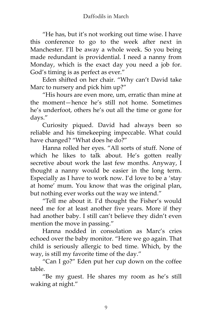"He has, but it's not working out time wise. I have this conference to go to the week after next in Manchester. I'll be away a whole week. So you being made redundant is providential. I need a nanny from Monday, which is the exact day you need a job for. God's timing is as perfect as ever."

Eden shifted on her chair. "Why can't David take Marc to nursery and pick him up?"

"His hours are even more, um, erratic than mine at the moment—hence he's still not home. Sometimes he's underfoot, others he's out all the time or gone for days."

Curiosity piqued. David had always been so reliable and his timekeeping impeccable. What could have changed? "What does he do?"

Hanna rolled her eyes. "All sorts of stuff. None of which he likes to talk about. He's gotten really secretive about work the last few months. Anyway, I thought a nanny would be easier in the long term. Especially as I have to work now. I'd love to be a 'stay at home' mum. You know that was the original plan, but nothing ever works out the way we intend."

"Tell me about it. I'd thought the Fisher's would need me for at least another five years. More if they had another baby. I still can't believe they didn't even mention the move in passing."

Hanna nodded in consolation as Marc's cries echoed over the baby monitor. "Here we go again. That child is seriously allergic to bed time. Which, by the way, is still my favorite time of the day."

"Can I go?" Eden put her cup down on the coffee table.

"Be my guest. He shares my room as he's still waking at night."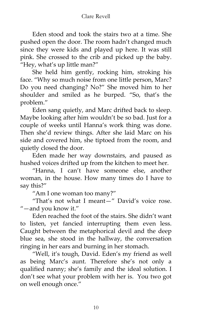Eden stood and took the stairs two at a time. She pushed open the door. The room hadn't changed much since they were kids and played up here. It was still pink. She crossed to the crib and picked up the baby. "Hey, what's up little man?"

She held him gently, rocking him, stroking his face. "Why so much noise from one little person, Marc? Do you need changing? No?" She moved him to her shoulder and smiled as he burped. "So, that's the problem."

Eden sang quietly, and Marc drifted back to sleep. Maybe looking after him wouldn't be so bad. Just for a couple of weeks until Hanna's work thing was done. Then she'd review things. After she laid Marc on his side and covered him, she tiptoed from the room, and quietly closed the door.

Eden made her way downstairs, and paused as hushed voices drifted up from the kitchen to meet her.

"Hanna, I can't have someone else, another woman, in the house. How many times do I have to say this?"

"Am I one woman too many?"

"That's not what I meant—" David's voice rose. "—and you know it."

Eden reached the foot of the stairs. She didn't want to listen, yet fancied interrupting them even less. Caught between the metaphorical devil and the deep blue sea, she stood in the hallway, the conversation ringing in her ears and burning in her stomach.

"Well, it's tough, David. Eden's my friend as well as being Marc's aunt. Therefore she's not only a qualified nanny; she's family and the ideal solution. I don't see what your problem with her is. You two got on well enough once."